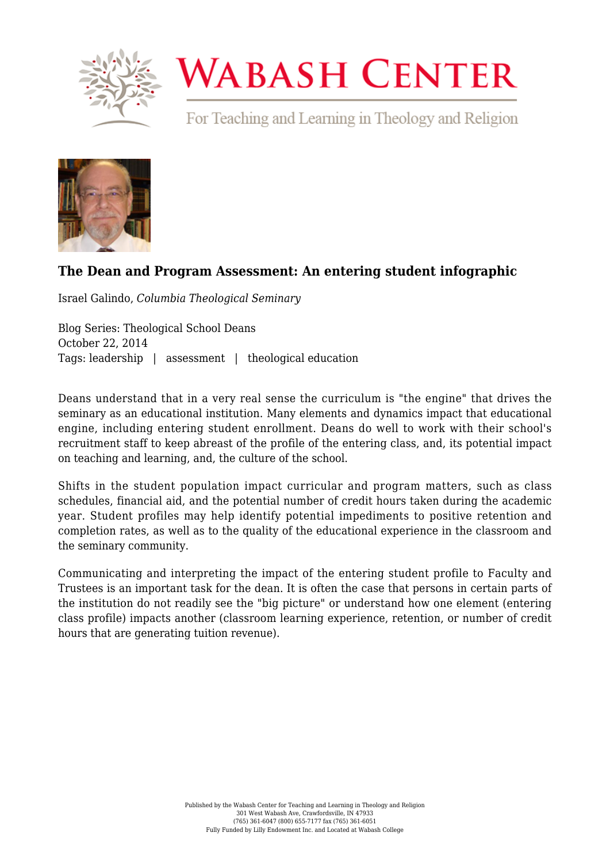

# **WABASH CENTER**

For Teaching and Learning in Theology and Religion



## **[The Dean and Program Assessment: An entering student infographic](https://www.wabashcenter.wabash.edu/2014/10/the-dean-and-program-assessment-an-entering-student-infographic/)**

Israel Galindo, *Columbia Theological Seminary*

Blog Series: Theological School Deans October 22, 2014 Tags: leadership | assessment | theological education

Deans understand that in a very real sense the curriculum is "the engine" that drives the seminary as an educational institution. Many elements and dynamics impact that educational engine, including entering student enrollment. Deans do well to work with their school's recruitment staff to keep abreast of the profile of the entering class, and, its potential impact on teaching and learning, and, the culture of the school.

Shifts in the student population impact curricular and program matters, such as class schedules, financial aid, and the potential number of credit hours taken during the academic year. Student profiles may help identify potential impediments to positive retention and completion rates, as well as to the quality of the educational experience in the classroom and the seminary community.

Communicating and interpreting the impact of the entering student profile to Faculty and Trustees is an important task for the dean. It is often the case that persons in certain parts of the institution do not readily see the "big picture" or understand how one element (entering class profile) impacts another (classroom learning experience, retention, or number of credit hours that are generating tuition revenue).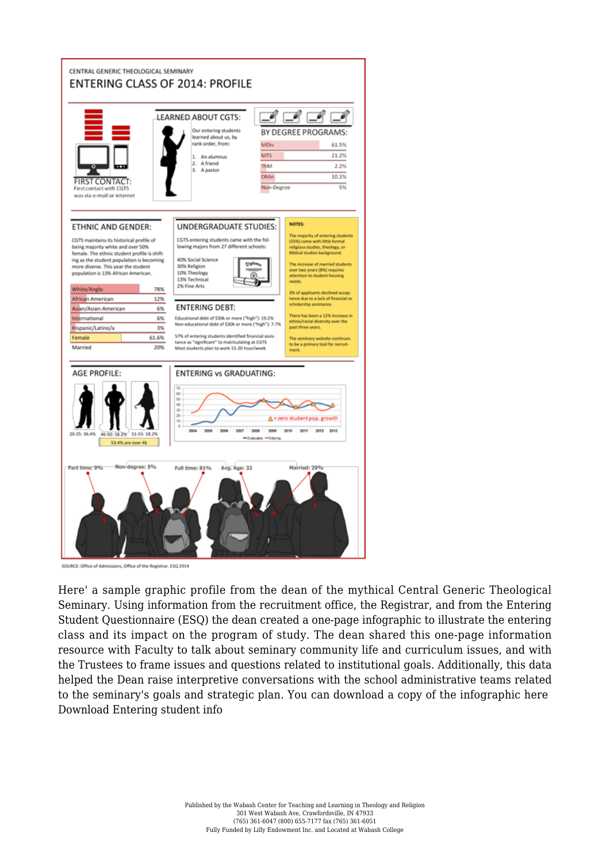

SOURCE: Office of Admissions, Office of the Registrar, ESQ 2014

Here' a sample graphic profile from the dean of the mythical Central Generic Theological Seminary. Using information from the recruitment office, the Registrar, and from the Entering Student Questionnaire (ESQ) the dean created a one-page infographic to illustrate the entering class and its impact on the program of study. The dean shared this one-page information resource with Faculty to talk about seminary community life and curriculum issues, and with the Trustees to frame issues and questions related to institutional goals. Additionally, this data helped the Dean raise interpretive conversations with the school administrative teams related to the seminary's goals and strategic plan. You can download a copy of the infographic here [Download Entering student info](https://www.wabashcenter.wabash.edu/wp-content/uploads/2017/06/enteringstudentinfo-2-1.pdf)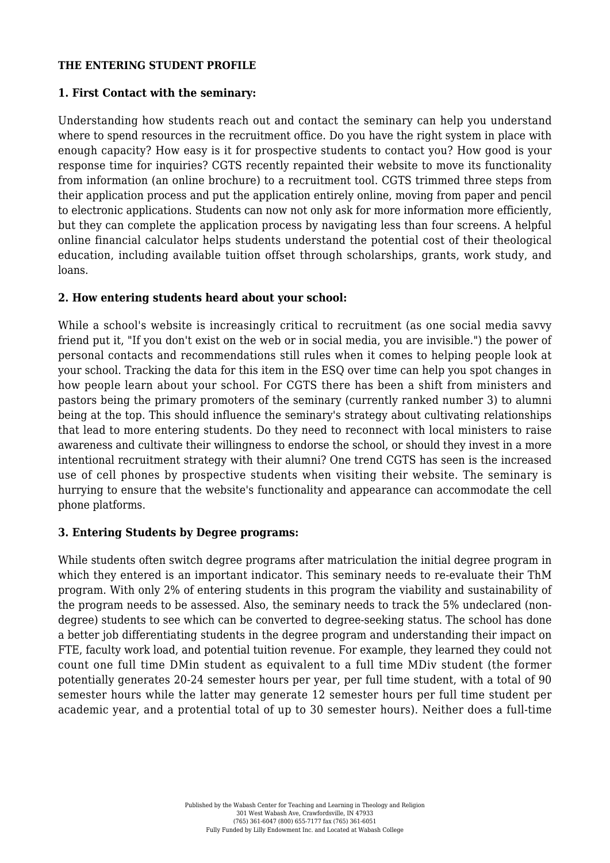#### **THE ENTERING STUDENT PROFILE**

### **1. First Contact with the seminary:**

Understanding how students reach out and contact the seminary can help you understand where to spend resources in the recruitment office. Do you have the right system in place with enough capacity? How easy is it for prospective students to contact you? How good is your response time for inquiries? CGTS recently repainted their website to move its functionality from information (an online brochure) to a recruitment tool. CGTS trimmed three steps from their application process and put the application entirely online, moving from paper and pencil to electronic applications. Students can now not only ask for more information more efficiently, but they can complete the application process by navigating less than four screens. A helpful online financial calculator helps students understand the potential cost of their theological education, including available tuition offset through scholarships, grants, work study, and loans.

### **2. How entering students heard about your school:**

While a school's website is increasingly critical to recruitment (as one social media savvy friend put it, "If you don't exist on the web or in social media, you are invisible.") the power of personal contacts and recommendations still rules when it comes to helping people look at your school. Tracking the data for this item in the ESQ over time can help you spot changes in how people learn about your school. For CGTS there has been a shift from ministers and pastors being the primary promoters of the seminary (currently ranked number 3) to alumni being at the top. This should influence the seminary's strategy about cultivating relationships that lead to more entering students. Do they need to reconnect with local ministers to raise awareness and cultivate their willingness to endorse the school, or should they invest in a more intentional recruitment strategy with their alumni? One trend CGTS has seen is the increased use of cell phones by prospective students when visiting their website. The seminary is hurrying to ensure that the website's functionality and appearance can accommodate the cell phone platforms.

#### **3. Entering Students by Degree programs:**

While students often switch degree programs after matriculation the initial degree program in which they entered is an important indicator. This seminary needs to re-evaluate their ThM program. With only 2% of entering students in this program the viability and sustainability of the program needs to be assessed. Also, the seminary needs to track the 5% undeclared (nondegree) students to see which can be converted to degree-seeking status. The school has done a better job differentiating students in the degree program and understanding their impact on FTE, faculty work load, and potential tuition revenue. For example, they learned they could not count one full time DMin student as equivalent to a full time MDiv student (the former potentially generates 20-24 semester hours per year, per full time student, with a total of 90 semester hours while the latter may generate 12 semester hours per full time student per academic year, and a protential total of up to 30 semester hours). Neither does a full-time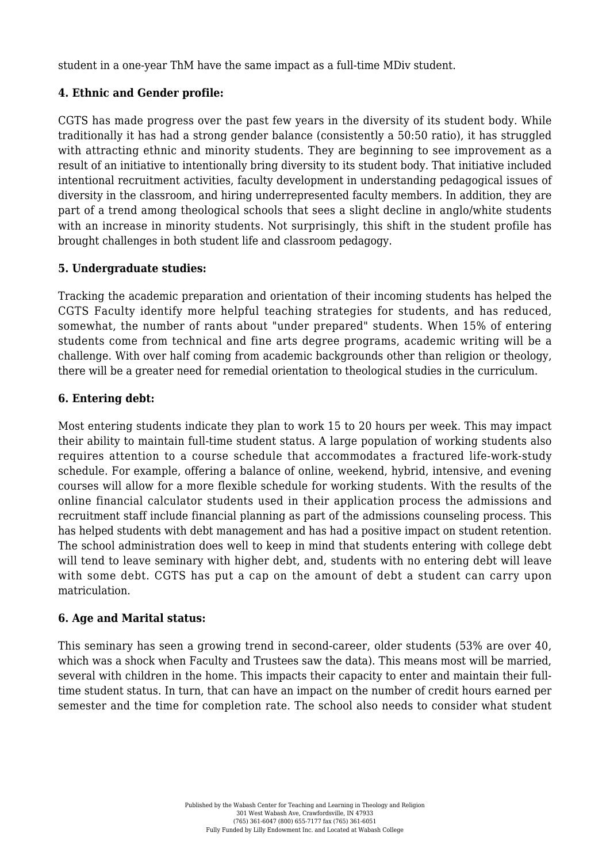student in a one-year ThM have the same impact as a full-time MDiv student.

## **4. Ethnic and Gender profile:**

CGTS has made progress over the past few years in the diversity of its student body. While traditionally it has had a strong gender balance (consistently a 50:50 ratio), it has struggled with attracting ethnic and minority students. They are beginning to see improvement as a result of an initiative to intentionally bring diversity to its student body. That initiative included intentional recruitment activities, faculty development in understanding pedagogical issues of diversity in the classroom, and hiring underrepresented faculty members. In addition, they are part of a trend among theological schools that sees a slight decline in anglo/white students with an increase in minority students. Not surprisingly, this shift in the student profile has brought challenges in both student life and classroom pedagogy.

## **5. Undergraduate studies:**

Tracking the academic preparation and orientation of their incoming students has helped the CGTS Faculty identify more helpful teaching strategies for students, and has reduced, somewhat, the number of rants about "under prepared" students. When 15% of entering students come from technical and fine arts degree programs, academic writing will be a challenge. With over half coming from academic backgrounds other than religion or theology, there will be a greater need for remedial orientation to theological studies in the curriculum.

## **6. Entering debt:**

Most entering students indicate they plan to work 15 to 20 hours per week. This may impact their ability to maintain full-time student status. A large population of working students also requires attention to a course schedule that accommodates a fractured life-work-study schedule. For example, offering a balance of online, weekend, hybrid, intensive, and evening courses will allow for a more flexible schedule for working students. With the results of the online financial calculator students used in their application process the admissions and recruitment staff include financial planning as part of the admissions counseling process. This has helped students with debt management and has had a positive impact on student retention. The school administration does well to keep in mind that students entering with college debt will tend to leave seminary with higher debt, and, students with no entering debt will leave with some debt. CGTS has put a cap on the amount of debt a student can carry upon matriculation.

## **6. Age and Marital status:**

This seminary has seen a growing trend in second-career, older students (53% are over 40, which was a shock when Faculty and Trustees saw the data). This means most will be married, several with children in the home. This impacts their capacity to enter and maintain their fulltime student status. In turn, that can have an impact on the number of credit hours earned per semester and the time for completion rate. The school also needs to consider what student